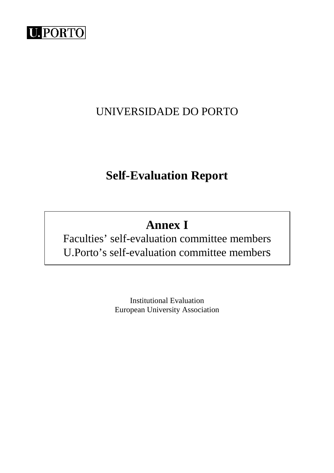

## UNIVERSIDADE DO PORTO

## **Self-Evaluation Report**

# **Annex I**

Faculties' self-evaluation committee members U.Porto's self-evaluation committee members

> Institutional Evaluation European University Association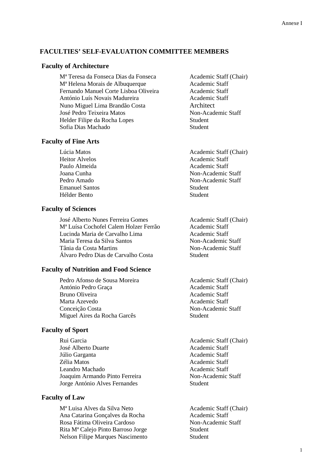#### **FACULTIES' SELF-EVALUATION COMMITTEE MEMBERS**

#### **Faculty of Architecture**

M<sup>a</sup> Teresa da Fonseca Dias da Fonseca Academic Staff (Chair) M<sup>ª</sup> Helena Morais de Albuquerque **Academic Staff** Fernando Manuel Corte Lisboa Oliveira Academic Staff António Luís Novais Madureira Academic Staff Nuno Miguel Lima Brandão Costa Architect José Pedro Teixeira Matos Non-Academic Staff Helder Filipe da Rocha Lopes Student Sofia Dias Machado Student

#### **Faculty of Fine Arts**

Heitor Alvelos Academic Staff Paulo Almeida Academic Staff Emanuel Santos Student Hélder Bento Student

#### **Faculty of Sciences**

José Alberto Nunes Ferreira Gomes<br>
M<sup>a</sup> Luísa Cochofel Calem Holzer Ferrão<br>
Academic Staff M<sup>ª</sup> Luísa Cochofel Calem Holzer Ferrão Lucinda Maria de Carvalho Lima Academic Staff Maria Teresa da Silva Santos Non-Academic Staff Tânia da Costa Martins Non-Academic Staff Álvaro Pedro Dias de Carvalho Costa Student

#### **Faculty of Nutrition and Food Science**

Pedro Afonso de Sousa Moreira Academic Staff (Chair) António Pedro Graca Academic Staff Bruno Oliveira **Academic Staff**  Marta Azevedo Academic Staff Conceição Costa Non-Academic Staff Miguel Aires da Rocha Garcês Student

#### **Faculty of Sport**

 Rui Garcia Academic Staff (Chair) José Alberto Duarte Academic Staff Júlio Garganta Academic Staff Zélia Matos **Academic Staff** Leandro Machado **Academic Staff** Joaquim Armando Pinto Ferreira Non-Academic Staff Jorge António Alves Fernandes Student

#### **Faculty of Law**

M<sup>ª</sup> Luisa Alves da Silva Neto Academic Staff (Chair) Ana Catarina Gonçalves da Rocha Academic Staff Rosa Fátima Oliveira Cardoso Non-Academic Staff Rita M<sup>ª</sup> Calejo Pinto Barroso Jorge Student Nelson Filipe Marques Nascimento Student

Lúcia Matos **Academic Staff (Chair)** Joana Cunha Non-Academic Staff Pedro Amado Non-Academic Staff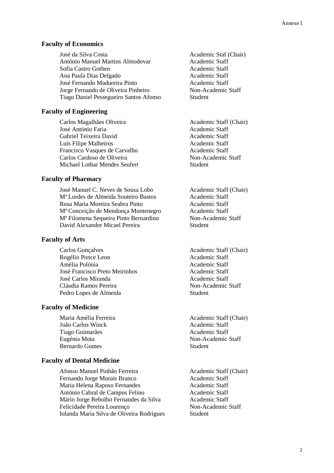#### **Faculty of Economics**

José da Silva Costa **Academic Staf (Chair)** Academic Staf (Chair) António Manuel Martins Almodovar Academic Staff Sofia Castro Gothen Academic Staff Ana Paula Dias Delgado Academic Staff José Fernando Madureira Pinto Academic Staff Jorge Fernando de Oliveira Pinheiro Non-Academic Staff Tiago Daniel Pessegueiro Santos Afonso Student

### **Faculty of Engineering**

Carlos Magalhães Oliveira Academic Staff (Chair) José António Faria **Academic Staff** Gabriel Teixeira David Academic Staff Luís Filipe Malheiros **Academic Staff** Francisco Vasques de Carvalho Academic Staff Carlos Cardoso de Oliveira Non-Academic Staff Michael Lothar Mendes Seufert Student

#### **Faculty of Pharmacy**

 José Manuel C. Neves de Sousa Lobo Academic Staff (Chair) Mª Lurdes de Almeida Souteiro Bastos Academic Staff Rosa Maria Moreira Seabra Pinto **Academic Staff**  Mª Conceição de Mendonça Montenegro Academic Staff M<sup>ª</sup> Filomena Sequeira Pinto Bernardino Non-Academic Staff David Alexandre Micael Pereira Student

#### **Faculty of Arts**

Carlos Gonçalves Academic Staff (Chair) Rogélio Ponce Leon Academic Staff Amélia Polónia **Academic Staff**  José Francisco Preto Meirinhos Academic Staff José Carlos Miranda<br>
Academic Staff Cláudia Ramos Pereira Non-Academic Staff Pedro Lopes de Almeida Student

#### **Faculty of Medicine**

 João Carlos Winck Academic Staff Tiago Guimarães **Academic Staff** Eugénia Mota Non-Academic Staff Bernardo Gomes Student

#### **Faculty of Dental Medicine**

Afonso Manuel Pinhão Ferreira Academic Staff (Chair) Fernando Jorge Morais Branco Academic Staff Maria Helena Raposo Fernandes Academic Staff António Cabral de Campos Felino Academic Staff Mário Jorge Rebolho Fernandes da Silva Academic Staff Felicidade Pereira Lourenço Non-Academic Staff Iolanda Maria Silva de Oliveira Rodrigues Student

Maria Amélia Ferreira **Academic Staff (Chair)** Academic Staff (Chair)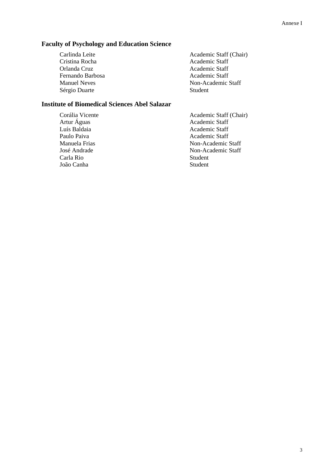## **Faculty of Psychology and Education Science**

Cristina Rocha Academic Staff<br>
Orlanda Cruz Academic Staff Fernando Barbosa<br>
Manuel Neves<br>
Non-Academic Staff Sérgio Duarte Student

Carlinda Leite Academic Staff (Chair) Academic Staff Non-Academic Staff

## **Institute of Biomedical Sciences Abel Salazar**

Carla Rio Student<br>João Canha Student João Canha

Corália Vicente<br>
Academic Staff (Chair)<br>
Academic Staff (Chair)<br>
Academic Staff Artur Águas Academic Staff<br>
Luís Baldaia Academic Staff Academic Staff Paulo Paiva **Academic Staff** Manuela Frias Non-Academic Staff José Andrade Non-Academic Staff<br>Carla Rio Student